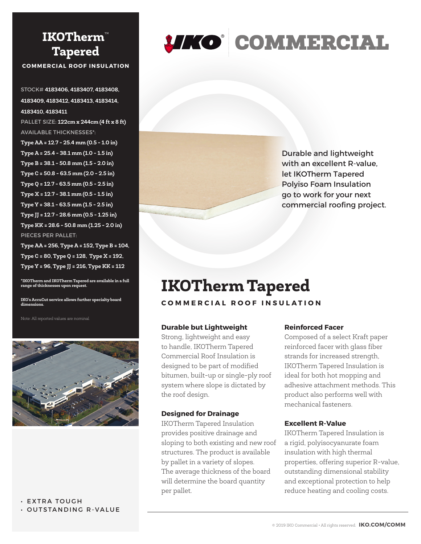## **IKOTherm**™ **Tapered**

**COMMERCIAL ROOF INSULATION**

STOCK# **4183406, 4183407, 4183408, 4183409, 4183412, 4183413, 4183414, 4183410, 4183411** PALLET SIZE: **122cm x 244cm (4 ft x 8 ft)** AVAILABLE THICKNESSES\*: **Type AA = 12.7 - 25.4 mm (0.5 - 1.0 in) Type A = 25.4 - 38.1 mm (1.0 - 1.5 in) Type B = 38.1 - 50.8 mm (1.5 - 2.0 in) Type C = 50.8 - 63.5 mm (2.0 - 2.5 in) Type Q = 12.7 - 63.5 mm (0.5 - 2.5 in) Type X = 12.7 - 38.1 mm (0.5 - 1.5 in) Type Y = 38.1 - 63.5 mm (1.5 - 2.5 in) Type JJ = 12.7 - 28.6 mm (0.5 - 1.25 in) Type KK = 28.6 - 50.8 mm (1.25 - 2.0 in)** PIECES PER PALLET:

**Type AA = 256, Type A = 152, Type B = 104, Type C = 80, Type Q = 128, Type X = 192, Type Y = 96, Type JJ = 216, Type KK = 112**

**\*IKOTherm and IKOTherm Tapered are available in a full range of thicknesses upon request.**

**IKO's AccuCut service allows further specialty board dimensions.**

Note: All reported values are nominal.



• EXTRA TOUGH • OUTSTANDING R‑VALUE

# **JIKO COMMERCIAL**

Durable and lightweight with an excellent R-value. let IKOTherm Tapered Polyiso Foam Insulation go to work for your next commercial roofing project.

# **IKOTherm Tapered**

#### **COMMERCIAL ROOF INSULATION**

#### **Durable but Lightweight**

Strong, lightweight and easy to handle, IKOTherm Tapered Commercial Roof Insulation is designed to be part of modified bitumen, built-up or single-ply roof system where slope is dictated by the roof design.

#### **Designed for Drainage**

IKOTherm Tapered Insulation provides positive drainage and sloping to both existing and new roof structures. The product is available by pallet in a variety of slopes. The average thickness of the board will determine the board quantity per pallet.

#### **Reinforced Facer**

Composed of a select Kraft paper reinforced facer with glass fiber strands for increased strength, IKOTherm Tapered Insulation is ideal for both hot mopping and adhesive attachment methods. This product also performs well with mechanical fasteners.

#### **Excellent R-Value**

IKOTherm Tapered Insulation is a rigid, polyisocyanurate foam insulation with high thermal properties, offering superior R-value, outstanding dimensional stability and exceptional protection to help reduce heating and cooling costs.